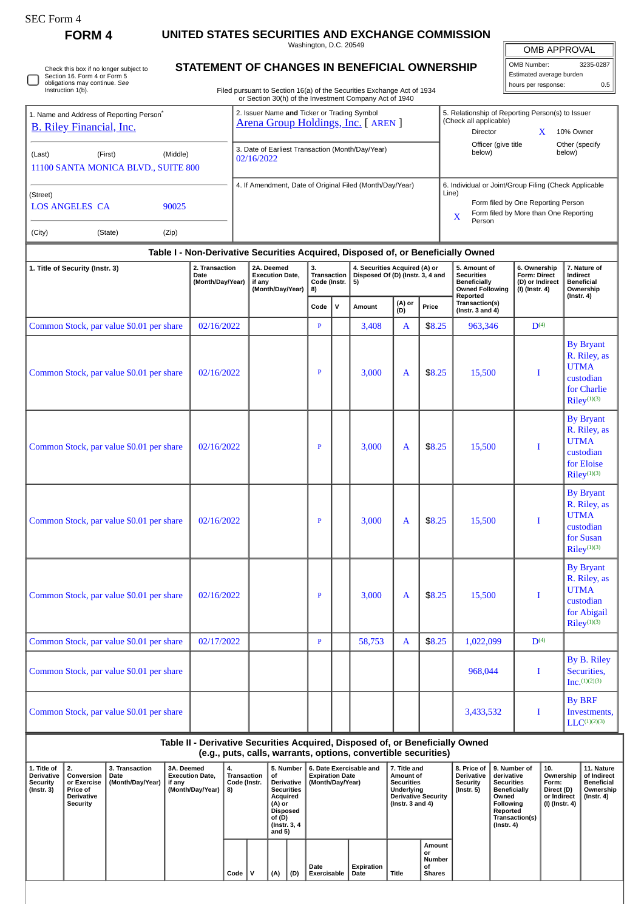П

Check this box if no longer subject to Section 16. Form 4 or Form 5 obligations may continue. *See* Instruction 1(b).

**FORM 4 UNITED STATES SECURITIES AND EXCHANGE COMMISSION**

Washington, D.C. 20549 **STATEMENT OF CHANGES IN BENEFICIAL OWNERSHIP**

OMB APPROVAL

| OMB Number:              | 3235-0287 |
|--------------------------|-----------|
| Estimated average burden |           |
| hours per response:      | 0.5       |

Filed pursuant to Section 16(a) of the Securities Exchange Act of 1934 or Section 30(h) of the Investment Company Act of 1940

|                                                                                  | or Section Softly or the investment Company Act or 1940                                 |                                                 |                                                                                         |                                                                                                                                                              |  |  |  |  |  |
|----------------------------------------------------------------------------------|-----------------------------------------------------------------------------------------|-------------------------------------------------|-----------------------------------------------------------------------------------------|--------------------------------------------------------------------------------------------------------------------------------------------------------------|--|--|--|--|--|
|                                                                                  | 1. Name and Address of Reporting Person <sup>®</sup><br><b>B. Riley Financial, Inc.</b> |                                                 | 2. Issuer Name and Ticker or Trading Symbol<br><b>Arena Group Holdings, Inc.</b> [AREN] | 5. Relationship of Reporting Person(s) to Issuer<br>(Check all applicable)<br>10% Owner<br>Director                                                          |  |  |  |  |  |
| (Last)                                                                           | (First)                                                                                 | (Middle)<br>11100 SANTA MONICA BLVD., SUITE 800 | 3. Date of Earliest Transaction (Month/Day/Year)<br>02/16/2022                          | Other (specify<br>Officer (give title<br>below)<br>below)                                                                                                    |  |  |  |  |  |
| (Street)<br><b>LOS ANGELES CA</b><br>90025<br>(City)<br>(State)<br>(Zip)         |                                                                                         |                                                 | 4. If Amendment, Date of Original Filed (Month/Day/Year)                                | 6. Individual or Joint/Group Filing (Check Applicable<br>Line)<br>Form filed by One Reporting Person<br>Form filed by More than One Reporting<br>X<br>Person |  |  |  |  |  |
| Table I - Non-Derivative Securities Acquired. Disposed of, or Beneficially Owned |                                                                                         |                                                 |                                                                                         |                                                                                                                                                              |  |  |  |  |  |

| 1. Title of Security (Instr. 3)          | 2. Transaction<br>Date<br>(Month/Day/Year) | 2A. Deemed<br><b>Execution Date,</b><br>if any<br>(Month/Day/Year) | 3.<br>Transaction<br>Code (Instr.<br>8) |             | 4. Securities Acquired (A) or<br>Disposed Of (D) (Instr. 3, 4 and<br>5) |                        | 5. Amount of<br><b>Securities</b><br><b>Beneficially</b><br><b>Owned Following</b> | 6. Ownership<br><b>Form: Direct</b><br>(D) or Indirect<br>(I) (Instr. 4) | 7. Nature of<br>Indirect<br><b>Beneficial</b><br>Ownership |                                                                                                        |  |
|------------------------------------------|--------------------------------------------|--------------------------------------------------------------------|-----------------------------------------|-------------|-------------------------------------------------------------------------|------------------------|------------------------------------------------------------------------------------|--------------------------------------------------------------------------|------------------------------------------------------------|--------------------------------------------------------------------------------------------------------|--|
|                                          |                                            |                                                                    | Code                                    | $\mathbf v$ | Amount                                                                  | (A) or<br>(D)<br>Price |                                                                                    | Reported<br>Transaction(s)<br>(Instr. $3$ and $4$ )                      |                                                            | $($ Instr. 4 $)$                                                                                       |  |
| Common Stock, par value \$0.01 per share | 02/16/2022                                 |                                                                    | $\overline{\mathbf{P}}$                 |             | 3,408                                                                   | $\mathbf{A}$           | \$8.25                                                                             | 963,346                                                                  | D <sup>(4)</sup>                                           |                                                                                                        |  |
| Common Stock, par value \$0.01 per share | 02/16/2022                                 |                                                                    | $\, {\bf p}$                            |             | 3,000                                                                   | A                      | \$8.25                                                                             | 15,500                                                                   | I                                                          | <b>By Bryant</b><br>R. Riley, as<br><b>UTMA</b><br>custodian<br>for Charlie<br>Riley <sup>(1)(3)</sup> |  |
| Common Stock, par value \$0.01 per share | 02/16/2022                                 |                                                                    | $\overline{P}$                          |             | 3,000                                                                   | A                      | \$8.25                                                                             | 15,500                                                                   | $\bf{I}$                                                   | <b>By Bryant</b><br>R. Riley, as<br><b>UTMA</b><br>custodian<br>for Eloise<br>Riley <sup>(1)(3)</sup>  |  |
| Common Stock, par value \$0.01 per share | 02/16/2022                                 |                                                                    | $\, {\bf p}$                            |             | 3,000                                                                   | A                      | \$8.25                                                                             | 15,500                                                                   | I                                                          | <b>By Bryant</b><br>R. Riley, as<br><b>UTMA</b><br>custodian<br>for Susan<br>Riley <sup>(1)(3)</sup>   |  |
| Common Stock, par value \$0.01 per share | 02/16/2022                                 |                                                                    | $\, {\bf p}$                            |             | 3,000                                                                   | A                      | \$8.25                                                                             | 15,500                                                                   | $\bf{I}$                                                   | <b>By Bryant</b><br>R. Riley, as<br><b>UTMA</b><br>custodian<br>for Abigail<br>Riley <sup>(1)(3)</sup> |  |
| Common Stock, par value \$0.01 per share | 02/17/2022                                 |                                                                    | $\overline{P}$                          |             | 58,753                                                                  | $\mathbf{A}$           | \$8.25                                                                             | 1,022,099                                                                | D <sup>(4)</sup>                                           |                                                                                                        |  |
| Common Stock, par value \$0.01 per share |                                            |                                                                    |                                         |             |                                                                         |                        |                                                                                    | 968,044                                                                  | Ι                                                          | By B. Riley<br>Securities,<br>Inc.(1)(2)(3)                                                            |  |
| Common Stock, par value \$0.01 per share |                                            |                                                                    |                                         |             |                                                                         |                        |                                                                                    | 3,433,532                                                                | Ι                                                          | <b>By BRF</b><br>Investments,<br>$LLC^{(1)(2)(3)}$                                                     |  |
| エントリン リー・ロック                             |                                            |                                                                    |                                         | as at 1982. |                                                                         | $  -$                  |                                                                                    |                                                                          |                                                            |                                                                                                        |  |

## **Table II - Derivative Securities Acquired, Disposed of, or Beneficially Owned (e.g., puts, calls, warrants, options, convertible securities)**

| 1. Title of<br><b>Derivative</b><br>Security<br>$($ Instr. 3 $)$ | $\parallel$ 2.<br><b>Conversion</b><br>or Exercise<br><b>Price of</b><br><b>Derivative</b><br>Security | 3. Transaction<br>Date<br>(Month/Day/Year) | 3A. Deemed<br><b>Execution Date,</b><br>if any<br>(Month/Day/Year)   8) | 4.<br>Transaction<br>Code (Instr. | οf<br><b>Derivative</b><br><b>Securities</b><br>Acquired<br>(A) or<br><b>Disposed</b><br>of (D)<br>(Instr. 3, 4)<br>and $5$ ) |     | 5. Number   6. Date Exercisable and | 7. Title and<br><b>Expiration Date</b><br>Amount of<br>(Month/Day/Year)<br><b>Securities</b><br>Underlying<br><b>Derivative Security</b><br>(Instr. $3$ and $4$ ) |              |                                               | Derivative<br>Security<br>(Instr. 5) | 8. Price of 19. Number of<br>derivative<br><b>Securities</b><br><b>Beneficially</b><br>Owned<br>Following<br>Reported<br>Transaction(s)<br>(Instr. 4) | 10.<br>Ownership<br>Form:<br>Direct (D)<br>or Indirect<br>(I) (Instr. 4) | 11. Nature<br>of Indirect<br><b>Beneficial</b><br>Ownership<br>(Instr. 4) |
|------------------------------------------------------------------|--------------------------------------------------------------------------------------------------------|--------------------------------------------|-------------------------------------------------------------------------|-----------------------------------|-------------------------------------------------------------------------------------------------------------------------------|-----|-------------------------------------|-------------------------------------------------------------------------------------------------------------------------------------------------------------------|--------------|-----------------------------------------------|--------------------------------------|-------------------------------------------------------------------------------------------------------------------------------------------------------|--------------------------------------------------------------------------|---------------------------------------------------------------------------|
|                                                                  |                                                                                                        |                                            |                                                                         | Code                              | (A)                                                                                                                           | (D) | Date<br>Exercisable                 | Expiration<br>Date                                                                                                                                                | <b>Title</b> | Amount<br>or<br>Number<br>οf<br><b>Shares</b> |                                      |                                                                                                                                                       |                                                                          |                                                                           |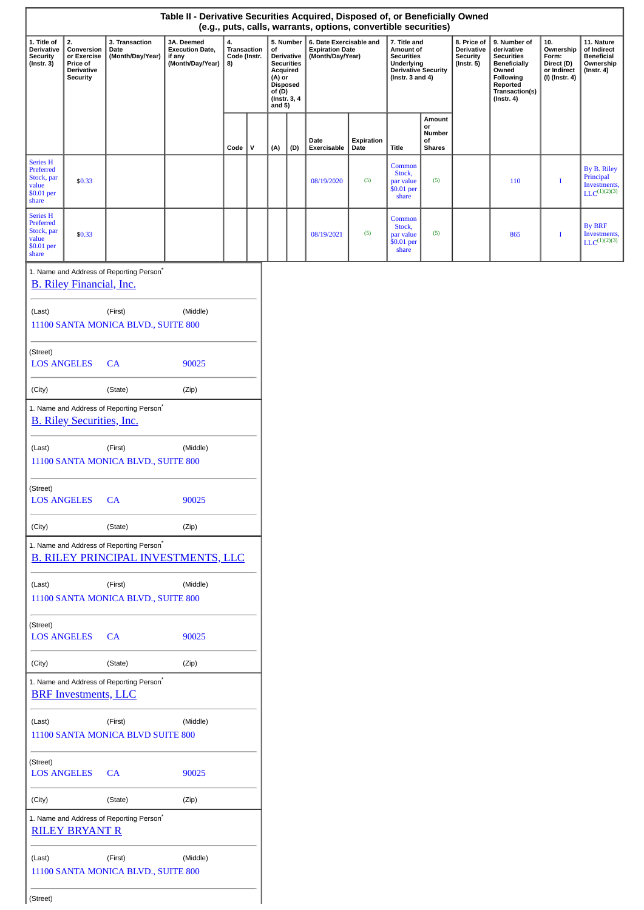|                                                                            |                                                                                     |                                                      | Table II - Derivative Securities Acquired, Disposed of, or Beneficially Owned |                                         |              |                                                   |                                                                                 | (e.g., puts, calls, warrants, options, convertible securities)        |                    |                                                                                                                     |                                               |                                                                  |                                                                                                                                                |                                                                          |                                                                                 |
|----------------------------------------------------------------------------|-------------------------------------------------------------------------------------|------------------------------------------------------|-------------------------------------------------------------------------------|-----------------------------------------|--------------|---------------------------------------------------|---------------------------------------------------------------------------------|-----------------------------------------------------------------------|--------------------|---------------------------------------------------------------------------------------------------------------------|-----------------------------------------------|------------------------------------------------------------------|------------------------------------------------------------------------------------------------------------------------------------------------|--------------------------------------------------------------------------|---------------------------------------------------------------------------------|
| 1. Title of<br>Derivative<br><b>Security</b><br>$($ Instr. 3 $)$           | 2.<br>Conversion<br>or Exercise<br>Price of<br><b>Derivative</b><br><b>Security</b> | 3. Transaction<br>Date<br>(Month/Day/Year)           | 3A. Deemed<br><b>Execution Date,</b><br>if any<br>(Month/Day/Year)            | 4.<br>Transaction<br>Code (Instr.<br>8) |              | of<br>Acquired<br>(A) or<br>of $(D)$<br>and $5$ ) | 5. Number<br>Derivative<br><b>Securities</b><br><b>Disposed</b><br>(Instr. 3, 4 | 6. Date Exercisable and<br><b>Expiration Date</b><br>(Month/Day/Year) |                    | 7. Title and<br>Amount of<br><b>Securities</b><br>Underlying<br><b>Derivative Security</b><br>(Instr. $3$ and $4$ ) |                                               | 8. Price of<br>Derivative<br><b>Security</b><br>$($ Instr. 5 $)$ | 9. Number of<br>derivative<br><b>Securities</b><br><b>Beneficially</b><br>Owned<br>Following<br>Reported<br>Transaction(s)<br>$($ Instr. 4 $)$ | 10.<br>Ownership<br>Form:<br>Direct (D)<br>or Indirect<br>(I) (Instr. 4) | 11. Nature<br>of Indirect<br><b>Beneficial</b><br>Ownership<br>$($ Instr. 4 $)$ |
|                                                                            |                                                                                     |                                                      |                                                                               | Code                                    | $\mathsf{v}$ | (A)                                               | (D)                                                                             | Date<br>Exercisable                                                   | Expiration<br>Date | Title                                                                                                               | Amount<br>or<br>Number<br>of<br><b>Shares</b> |                                                                  |                                                                                                                                                |                                                                          |                                                                                 |
| <b>Series H</b><br>Preferred<br>Stock, par<br>value<br>\$0.01 per<br>share | \$0.33                                                                              |                                                      |                                                                               |                                         |              |                                                   |                                                                                 | 08/19/2020                                                            | (5)                | Common<br>Stock,<br>par value<br>\$0.01 per<br>share                                                                | (5)                                           |                                                                  | 110                                                                                                                                            | I                                                                        | By B. Riley<br>Principal<br>Investments,<br>$LLC^{(1)(2)(3)}$                   |
| Series H<br>Preferred<br>Stock, par<br>value<br>\$0.01 per<br>share        | \$0.33                                                                              |                                                      |                                                                               |                                         |              |                                                   |                                                                                 | 08/19/2021                                                            | (5)                | Common<br>Stock,<br>par value<br>\$0.01 per<br>share                                                                | (5)                                           |                                                                  | 865                                                                                                                                            | I                                                                        | <b>By BRF</b><br>Investments,<br>$LLC^{(1)(2)(3)}$                              |
|                                                                            | <b>B.</b> Riley Financial, Inc.                                                     | 1. Name and Address of Reporting Person <sup>*</sup> |                                                                               |                                         |              |                                                   |                                                                                 |                                                                       |                    |                                                                                                                     |                                               |                                                                  |                                                                                                                                                |                                                                          |                                                                                 |
| (Last)                                                                     |                                                                                     | (First)<br>11100 SANTA MONICA BLVD., SUITE 800       | (Middle)                                                                      |                                         |              |                                                   |                                                                                 |                                                                       |                    |                                                                                                                     |                                               |                                                                  |                                                                                                                                                |                                                                          |                                                                                 |
| (Street)<br><b>LOS ANGELES</b>                                             |                                                                                     | CA                                                   | 90025                                                                         |                                         |              |                                                   |                                                                                 |                                                                       |                    |                                                                                                                     |                                               |                                                                  |                                                                                                                                                |                                                                          |                                                                                 |
| (City)                                                                     |                                                                                     | (State)                                              | (Zip)                                                                         |                                         |              |                                                   |                                                                                 |                                                                       |                    |                                                                                                                     |                                               |                                                                  |                                                                                                                                                |                                                                          |                                                                                 |
|                                                                            | <b>B. Riley Securities, Inc.</b>                                                    | 1. Name and Address of Reporting Person*             |                                                                               |                                         |              |                                                   |                                                                                 |                                                                       |                    |                                                                                                                     |                                               |                                                                  |                                                                                                                                                |                                                                          |                                                                                 |
| (Last)                                                                     |                                                                                     | (First)<br>11100 SANTA MONICA BLVD., SUITE 800       | (Middle)                                                                      |                                         |              |                                                   |                                                                                 |                                                                       |                    |                                                                                                                     |                                               |                                                                  |                                                                                                                                                |                                                                          |                                                                                 |
| (Street)<br><b>LOS ANGELES</b>                                             |                                                                                     | <b>CA</b>                                            | 90025                                                                         |                                         |              |                                                   |                                                                                 |                                                                       |                    |                                                                                                                     |                                               |                                                                  |                                                                                                                                                |                                                                          |                                                                                 |
| (City)                                                                     |                                                                                     | (State)                                              | (Zip)                                                                         |                                         |              |                                                   |                                                                                 |                                                                       |                    |                                                                                                                     |                                               |                                                                  |                                                                                                                                                |                                                                          |                                                                                 |
|                                                                            |                                                                                     | 1. Name and Address of Reporting Person*             | <b>B. RILEY PRINCIPAL INVESTMENTS, LLC</b>                                    |                                         |              |                                                   |                                                                                 |                                                                       |                    |                                                                                                                     |                                               |                                                                  |                                                                                                                                                |                                                                          |                                                                                 |
| (Last)                                                                     |                                                                                     | (First)<br>11100 SANTA MONICA BLVD., SUITE 800       | (Middle)                                                                      |                                         |              |                                                   |                                                                                 |                                                                       |                    |                                                                                                                     |                                               |                                                                  |                                                                                                                                                |                                                                          |                                                                                 |
| (Street)<br><b>LOS ANGELES</b>                                             |                                                                                     | CA                                                   | 90025                                                                         |                                         |              |                                                   |                                                                                 |                                                                       |                    |                                                                                                                     |                                               |                                                                  |                                                                                                                                                |                                                                          |                                                                                 |
| (City)                                                                     |                                                                                     | (State)                                              | (Zip)                                                                         |                                         |              |                                                   |                                                                                 |                                                                       |                    |                                                                                                                     |                                               |                                                                  |                                                                                                                                                |                                                                          |                                                                                 |
|                                                                            | <b>BRF</b> Investments, LLC                                                         | 1. Name and Address of Reporting Person*             |                                                                               |                                         |              |                                                   |                                                                                 |                                                                       |                    |                                                                                                                     |                                               |                                                                  |                                                                                                                                                |                                                                          |                                                                                 |
| (Last)                                                                     |                                                                                     | (First)<br>11100 SANTA MONICA BLVD SUITE 800         | (Middle)                                                                      |                                         |              |                                                   |                                                                                 |                                                                       |                    |                                                                                                                     |                                               |                                                                  |                                                                                                                                                |                                                                          |                                                                                 |
| (Street)<br><b>LOS ANGELES</b>                                             |                                                                                     | CA                                                   | 90025                                                                         |                                         |              |                                                   |                                                                                 |                                                                       |                    |                                                                                                                     |                                               |                                                                  |                                                                                                                                                |                                                                          |                                                                                 |
| (City)                                                                     |                                                                                     | (State)                                              | (Zip)                                                                         |                                         |              |                                                   |                                                                                 |                                                                       |                    |                                                                                                                     |                                               |                                                                  |                                                                                                                                                |                                                                          |                                                                                 |
|                                                                            | <b>RILEY BRYANT R</b>                                                               | 1. Name and Address of Reporting Person*             |                                                                               |                                         |              |                                                   |                                                                                 |                                                                       |                    |                                                                                                                     |                                               |                                                                  |                                                                                                                                                |                                                                          |                                                                                 |
| (Last)                                                                     |                                                                                     | (First)<br>11100 SANTA MONICA BLVD., SUITE 800       | (Middle)                                                                      |                                         |              |                                                   |                                                                                 |                                                                       |                    |                                                                                                                     |                                               |                                                                  |                                                                                                                                                |                                                                          |                                                                                 |
| (Street)                                                                   |                                                                                     |                                                      |                                                                               |                                         |              |                                                   |                                                                                 |                                                                       |                    |                                                                                                                     |                                               |                                                                  |                                                                                                                                                |                                                                          |                                                                                 |